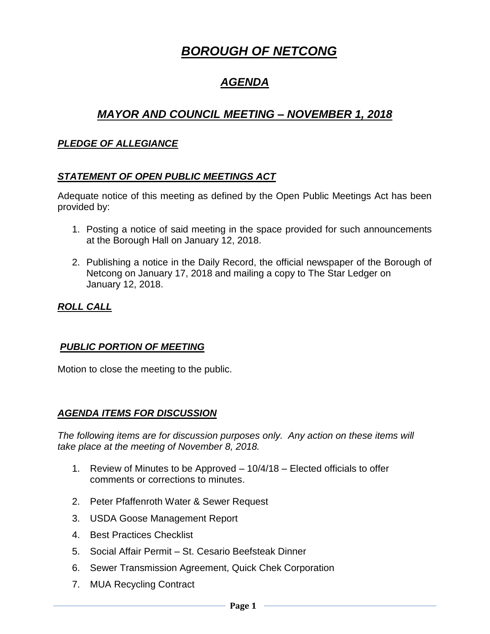# *BOROUGH OF NETCONG*

## *AGENDA*

### *MAYOR AND COUNCIL MEETING – NOVEMBER 1, 2018*

#### *PLEDGE OF ALLEGIANCE*

#### *STATEMENT OF OPEN PUBLIC MEETINGS ACT*

Adequate notice of this meeting as defined by the Open Public Meetings Act has been provided by:

- 1. Posting a notice of said meeting in the space provided for such announcements at the Borough Hall on January 12, 2018.
- 2. Publishing a notice in the Daily Record, the official newspaper of the Borough of Netcong on January 17, 2018 and mailing a copy to The Star Ledger on January 12, 2018.

### *ROLL CALL*

#### *PUBLIC PORTION OF MEETING*

Motion to close the meeting to the public.

#### *AGENDA ITEMS FOR DISCUSSION*

*The following items are for discussion purposes only. Any action on these items will take place at the meeting of November 8, 2018.* 

- 1. Review of Minutes to be Approved 10/4/18 Elected officials to offer comments or corrections to minutes.
- 2. Peter Pfaffenroth Water & Sewer Request
- 3. USDA Goose Management Report
- 4. Best Practices Checklist
- 5. Social Affair Permit St. Cesario Beefsteak Dinner
- 6. Sewer Transmission Agreement, Quick Chek Corporation
- 7. MUA Recycling Contract